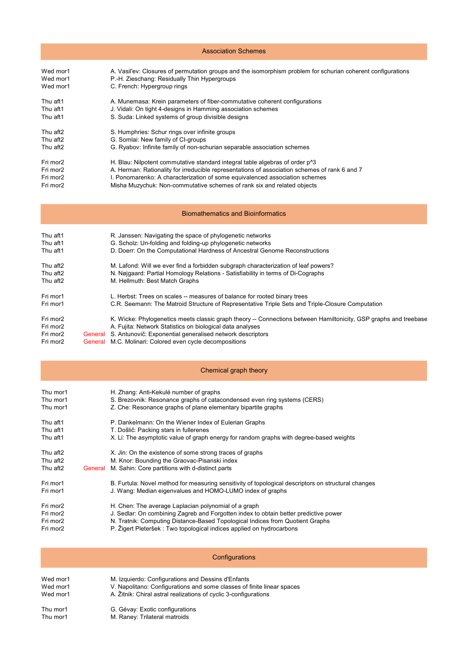| <b>Association Schemes</b>                   |         |                                                                                                                                                                                                                                                                                                                                                   |  |
|----------------------------------------------|---------|---------------------------------------------------------------------------------------------------------------------------------------------------------------------------------------------------------------------------------------------------------------------------------------------------------------------------------------------------|--|
| Wed mor1<br>Wed mor1<br>Wed mor1             |         | A. Vasil'ev: Closures of permutation groups and the isomorphism problem for schurian coherent configurations<br>P.-H. Zieschang: Residually Thin Hypergroups<br>C. French: Hypergroup rings                                                                                                                                                       |  |
| Thu aft1<br>Thu aft1<br>Thu aft1             |         | A. Munemasa: Krein parameters of fiber-commutative coherent configurations<br>J. Vidali: On tight 4-designs in Hamming association schemes<br>S. Suda: Linked systems of group divisible designs                                                                                                                                                  |  |
| Thu aft2<br>Thu aft2<br>Thu aft <sub>2</sub> |         | S. Humphries: Schur rings over infinite groups<br>G. Somlai: New family of CI-groups<br>G. Ryabov: Infinite family of non-schurian separable association schemes                                                                                                                                                                                  |  |
| Fri mor2<br>Fri mor2<br>Fri mor2<br>Fri mor2 |         | H. Blau: Nilpotent commutative standard integral table algebras of order $p^{\wedge}3$<br>A. Herman: Rationality for irreducible representations of association schemes of rank 6 and 7<br>I. Ponomarenko: A characterization of some equivalenced association schemes<br>Misha Muzychuk: Non-commutative schemes of rank six and related objects |  |
|                                              |         | <b>Biomathematics and Bioinformatics</b>                                                                                                                                                                                                                                                                                                          |  |
| Thu aft1<br>Thu aft1<br>Thu aft1             |         | R. Janssen: Navigating the space of phylogenetic networks<br>G. Scholz: Un-folding and folding-up phylogenetic networks<br>D. Doerr: On the Computational Hardness of Ancestral Genome Reconstructions                                                                                                                                            |  |
| Thu aft2<br>Thu aft2<br>Thu aft2             |         | M. Lafond: Will we ever find a forbidden subgraph characterization of leaf powers?<br>N. Nøjgaard: Partial Homology Relations - Satisfiability in terms of Di-Cographs<br>M. Hellmuth: Best Match Graphs                                                                                                                                          |  |
| Fri mor1<br>Fri mor1                         |         | L. Herbst: Trees on scales -- measures of balance for rooted binary trees<br>C.R. Seemann: The Matroid Structure of Representative Triple Sets and Triple-Closure Computation                                                                                                                                                                     |  |
| Fri mor2<br>Fri mor2<br>Fri mor2             |         | K. Wicke: Phylogenetics meets classic graph theory -- Connections between Hamiltonicity, GSP graphs and treebase<br>A. Fujita: Network Statistics on biological data analyses<br>General S. Antunovič: Exponential generalised network descriptors                                                                                                |  |
| Fri mor2                                     |         | <b>General</b> M.C. Molinari: Colored even cycle decompositions                                                                                                                                                                                                                                                                                   |  |
|                                              |         | Chemical graph theory                                                                                                                                                                                                                                                                                                                             |  |
| Thu mor1<br>Thu mor1<br>Thu mor1             |         | H. Zhang: Anti-Kekulé number of graphs<br>S. Brezovnik: Resonance graphs of catacondensed even ring systems (CERS)<br>Z. Che: Resonance graphs of plane elementary bipartite graphs                                                                                                                                                               |  |
| Thu aft1<br>Thu aft1<br>Thu aft1             |         | P. Dankelmann: On the Wiener Index of Eulerian Graphs<br>T. Došlič: Packing stars in fullerenes<br>X. Li: The asymptotic value of graph energy for random graphs with degree-based weights                                                                                                                                                        |  |
| Thu aft2<br>Thu aft2<br>Thu aft2             | General | X. Jin: On the existence of some strong traces of graphs<br>M. Knor: Bounding the Graovac-Pisanski index<br>M. Sahin: Core partitions with d-distinct parts                                                                                                                                                                                       |  |
| Fri mor1<br>Fri mor1                         |         | B. Furtula: Novel method for measuring sensitivity of topological descriptors on structural changes<br>J. Wang: Median eigenvalues and HOMO-LUMO index of graphs                                                                                                                                                                                  |  |
| Fri mor2<br>Fri mor2<br>Fri mor2<br>Fri mor2 |         | H. Chen: The average Laplacian polynomial of a graph<br>J. Sedlar: On combining Zagreb and Forgotten index to obtain better predictive power<br>N. Tratnik: Computing Distance-Based Topological Indices from Quotient Graphs<br>P. Žigert Pleteršek : Two topological indices applied on hydrocarbons                                            |  |
|                                              |         | Configurations                                                                                                                                                                                                                                                                                                                                    |  |
| Wed mor1<br>Wed mor1<br>Wed mor1             |         | M. Izquierdo: Configurations and Dessins d'Enfants<br>V. Napolitano: Configurations and some classes of finite linear spaces<br>A. Žitnik: Chiral astral realizations of cyclic 3-configurations                                                                                                                                                  |  |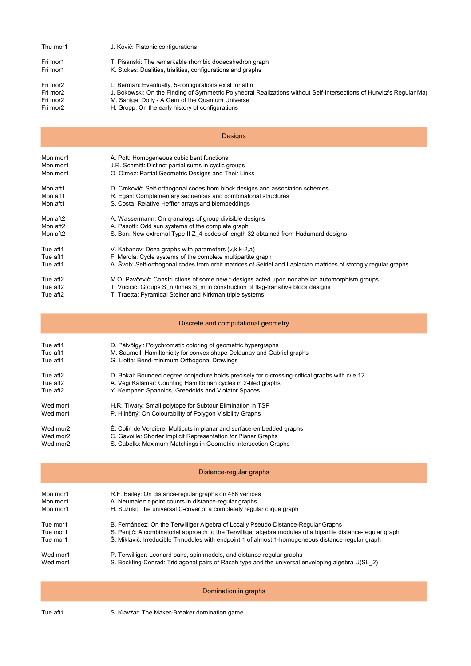|          | J. Kovič: Platonic configurations                                                                                    |  |  |  |
|----------|----------------------------------------------------------------------------------------------------------------------|--|--|--|
| Fri mor1 | T. Pisanski: The remarkable rhombic dodecahedron graph                                                               |  |  |  |
| Fri mor1 | K. Stokes: Dualities, trialities, configurations and graphs                                                          |  |  |  |
| Fri mor2 | L. Berman: Eventually, 5-configurations exist for all n                                                              |  |  |  |
| Fri mor2 | J. Bokowski: On the Finding of Symmetric Polyhedral Realizations without Self-Intersections of Hurwitz's Regular Maj |  |  |  |
| Fri mor2 | M. Saniga: Doily - A Gem of the Quantum Universe                                                                     |  |  |  |
| Fri mor2 | H. Gropp: On the early history of configurations                                                                     |  |  |  |
|          | <b>Designs</b>                                                                                                       |  |  |  |
| Mon mor1 | A. Pott: Homogeneous cubic bent functions                                                                            |  |  |  |
| Mon mor1 | J.R. Schmitt: Distinct partial sums in cyclic groups                                                                 |  |  |  |
| Mon mor1 | O. Olmez: Partial Geometric Designs and Their Links                                                                  |  |  |  |
| Mon aft1 | D. Crnković: Self-orthogonal codes from block designs and association schemes                                        |  |  |  |
| Mon aft1 | R. Egan: Complementary sequences and combinatorial structures                                                        |  |  |  |
| Mon aft1 | S. Costa: Relative Heffter arrays and biembeddings                                                                   |  |  |  |
| Mon aft2 | A. Wassermann: On q-analogs of group divisible designs                                                               |  |  |  |
| Mon aft2 | A. Pasotti: Odd sun systems of the complete graph                                                                    |  |  |  |
| Mon aft2 | S. Ban: New extremal Type II Z_4-codes of length 32 obtained from Hadamard designs                                   |  |  |  |
| Tue aft1 | V. Kabanov: Deza graphs with parameters (v,k,k-2,a)                                                                  |  |  |  |
| Tue aft1 | F. Merola: Cycle systems of the complete multipartite graph                                                          |  |  |  |
| Tue aft1 | A. Švob: Self-orthogonal codes from orbit matrices of Seidel and Laplacian matrices of strongly regular graphs       |  |  |  |
| Tue aft2 | M.O. Pavčevič: Constructions of some new t-designs acted upon nonabelian automorphism groups                         |  |  |  |
| Tue aft2 | T. Vučičič: Groups S n \times S m in construction of flag-transitive block designs                                   |  |  |  |
| Tue aft2 | T. Traetta: Pyramidal Steiner and Kirkman triple systems                                                             |  |  |  |
|          | Discrete and computational geometry                                                                                  |  |  |  |
|          |                                                                                                                      |  |  |  |
| Tue aft1 | D. Pálvölgyi: Polychromatic coloring of geometric hypergraphs                                                        |  |  |  |
| Tue aft1 | M. Saumell: Hamiltonicity for convex shape Delaunay and Gabriel graphs                                               |  |  |  |
| Tue aft1 | G. Liotta: Bend-minimum Orthogonal Drawings                                                                          |  |  |  |
| Tue aft2 | D. Bokal: Bounded degree conjecture holds precisely for c-crossing-critical graphs with c\le 12                      |  |  |  |
| Tue aft2 | A. Vegi Kalamar: Counting Hamiltonian cycles in 2-tiled graphs                                                       |  |  |  |
| Tue aft2 | Y. Kempner: Spanoids, Greedoids and Violator Spaces                                                                  |  |  |  |
| Wed mor1 | H.R. Tiwary: Small polytope for Subtour Elimination in TSP                                                           |  |  |  |
| Wed mor1 | P. Hliněný: On Colourability of Polygon Visibility Graphs                                                            |  |  |  |
| Wed mor2 | É. Colin de Verdière: Multicuts in planar and surface-embedded graphs                                                |  |  |  |
| Wed mor2 | C. Gavoille: Shorter Implicit Representation for Planar Graphs                                                       |  |  |  |
| Wed mor2 | S. Cabello: Maximum Matchings in Geometric Intersection Graphs                                                       |  |  |  |
|          | Distance-regular graphs                                                                                              |  |  |  |
| Mon mor1 | R.F. Bailey: On distance-regular graphs on 486 vertices                                                              |  |  |  |
| Mon mor1 | A. Neumaier: t-point counts in distance-regular graphs                                                               |  |  |  |
| Mon mor1 | H. Suzuki: The universal C-cover of a completely regular clique graph                                                |  |  |  |
| Tue mor1 | B. Fernández: On the Terwilliger Algebra of Locally Pseudo-Distance-Regular Graphs                                   |  |  |  |
| Tue mor1 | S. Penjič: A combinatorial approach to the Terwilliger algebra modules of a bipartite distance-regular graph         |  |  |  |
| Tue mor1 | Š. Miklavič: Irreducible T-modules with endpoint 1 of almost 1-homogeneous distance-regular graph                    |  |  |  |
| Wed mor1 | P. Terwilliger: Leonard pairs, spin models, and distance-regular graphs                                              |  |  |  |
| Wed mor1 | S. Bockting-Conrad: Tridiagonal pairs of Racah type and the universal enveloping algebra U(SL 2)                     |  |  |  |
|          | Domination in graphs                                                                                                 |  |  |  |

Tue aft1 S. Klavžar: The Maker-Breaker domination game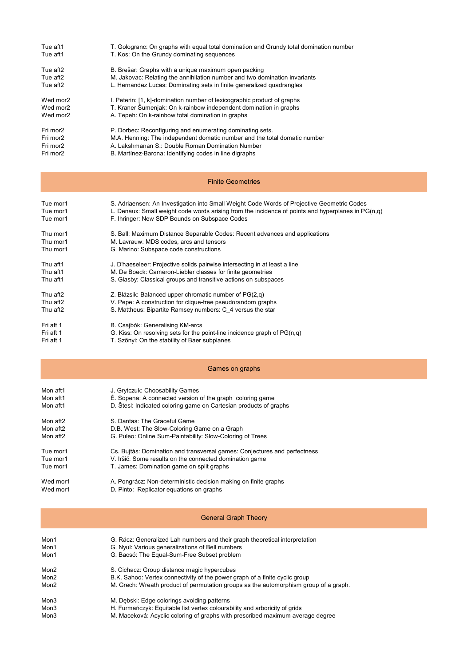| Tue aft1 | T. Gologranc: On graphs with equal total domination and Grundy total domination number |
|----------|----------------------------------------------------------------------------------------|
| Tue aft1 | T. Kos: On the Grundy dominating sequences                                             |
| Tue aft2 | B. Brešar: Graphs with a unique maximum open packing                                   |
| Tue aft2 | M. Jakovac: Relating the annihilation number and two domination invariants             |
| Tue aft2 | L. Hernandez Lucas: Dominating sets in finite generalized quadrangles                  |
| Wed mor2 | I. Peterin: [1, k]-domination number of lexicographic product of graphs                |
| Wed mor2 | T. Kraner Šumenjak: On k-rainbow independent domination in graphs                      |
| Wed mor2 | A. Tepeh: On k-rainbow total domination in graphs                                      |
| Fri mor2 | P. Dorbec: Reconfiguring and enumerating dominating sets.                              |
| Fri mor2 | M.A. Henning: The independent domatic number and the total domatic number              |
| Fri mor2 | A. Lakshmanan S.: Double Roman Domination Number                                       |
| Fri mor2 | B. Martínez-Barona: Identifying codes in line digraphs                                 |

#### Finite Geometries

| Tue mor1<br>Tue mor1<br>Tue mor1 | S. Adriaensen: An Investigation into Small Weight Code Words of Projective Geometric Codes<br>L. Denaux: Small weight code words arising from the incidence of points and hyperplanes in $PG(n,q)$<br>F. Ihringer: New SDP Bounds on Subspace Codes |
|----------------------------------|-----------------------------------------------------------------------------------------------------------------------------------------------------------------------------------------------------------------------------------------------------|
| Thu mor1                         | S. Ball: Maximum Distance Separable Codes: Recent advances and applications                                                                                                                                                                         |
| Thu mor1<br>Thu mor1             | M. Lavrauw: MDS codes, arcs and tensors<br>G. Marino: Subspace code constructions                                                                                                                                                                   |
| Thu aft1                         | J. D'haeseleer: Projective solids pairwise intersecting in at least a line                                                                                                                                                                          |
| Thu aft1                         | M. De Boeck: Cameron-Liebler classes for finite geometries                                                                                                                                                                                          |
| Thu aft1                         | S. Glasby: Classical groups and transitive actions on subspaces                                                                                                                                                                                     |
| Thu aft2                         | Z. Blázsik: Balanced upper chromatic number of PG(2,q)                                                                                                                                                                                              |
| Thu aft2                         | V. Pepe: A construction for clique-free pseudorandom graphs                                                                                                                                                                                         |
| Thu aft2                         | S. Mattheus: Bipartite Ramsey numbers: C 4 versus the star                                                                                                                                                                                          |
| Fri aft 1                        | B. Csajbók: Generalising KM-arcs                                                                                                                                                                                                                    |
| Fri aft 1                        | G. Kiss: On resolving sets for the point-line incidence graph of $PG(n,q)$                                                                                                                                                                          |
| Fri aft 1                        | T. Szőnyi: On the stability of Baer subplanes                                                                                                                                                                                                       |

### Games on graphs

| Mon aft1<br>Mon aft1 | J. Grytczuk: Choosability Games<br>É. Sopena: A connected version of the graph coloring game |
|----------------------|----------------------------------------------------------------------------------------------|
| Mon aft1             | D. Stesl: Indicated coloring game on Cartesian products of graphs                            |
| Mon aft2             | S. Dantas: The Graceful Game                                                                 |
| Mon aft2             | D.B. West: The Slow-Coloring Game on a Graph                                                 |
| Mon aft2             | G. Puleo: Online Sum-Paintability: Slow-Coloring of Trees                                    |
| Tue mor1             | Cs. Bujtás: Domination and transversal games: Conjectures and perfectness                    |
| Tue mor1             | V. Iršič: Some results on the connected domination game                                      |
| Tue mor1             | T. James: Domination game on split graphs                                                    |
| Wed mor1             | A. Pongrácz: Non-deterministic decision making on finite graphs                              |

#### Wed mor1 D. Pinto: Replicator equations on graphs

### General Graph Theory

| Mon1 | G. Rácz: Generalized Lah numbers and their graph theoretical interpretation          |
|------|--------------------------------------------------------------------------------------|
| Mon1 | G. Nyul: Various generalizations of Bell numbers                                     |
| Mon1 | G. Bacsó: The Equal-Sum-Free Subset problem                                          |
| Mon2 | S. Cichacz: Group distance magic hypercubes                                          |
| Mon2 | B.K. Sahoo: Vertex connectivity of the power graph of a finite cyclic group          |
| Mon2 | M. Grech: Wreath product of permutation groups as the automorphism group of a graph. |
| Mon3 | M. Debski: Edge colorings avoiding patterns                                          |
| Mon3 | H. Furmańczyk: Equitable list vertex colourability and arboricity of grids           |
| Mon3 | M. Maceková: Acyclic coloring of graphs with prescribed maximum average degree       |
|      |                                                                                      |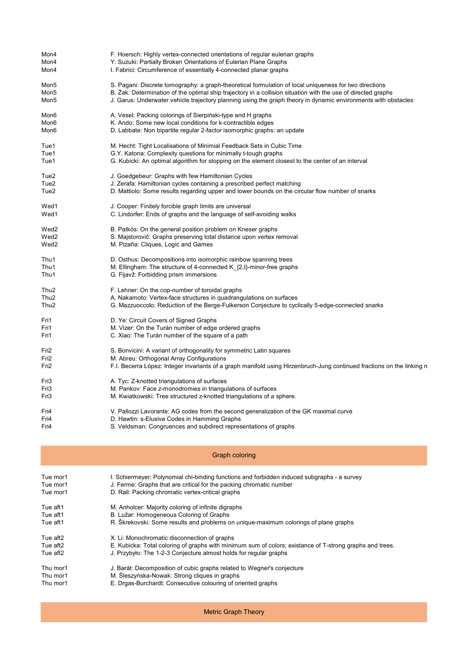| Mon4     | F. Hoersch: Highly vertex-connected orientations of regular eulerian graphs                                            |
|----------|------------------------------------------------------------------------------------------------------------------------|
| Mon4     | Y. Suzuki: Partially Broken Orientations of Eulerian Plane Graphs                                                      |
| Mon4     | I. Fabrici: Circumference of essentially 4-connected planar graphs                                                     |
| Mon5     | S. Pagani: Discrete tomography: a graph-theoretical formulation of local uniqueness for two directions                 |
| Mon5     | B. Zak: Determination of the optimal ship trajectory in a collision situation with the use of directed graphs          |
| Mon5     | J. Garus: Underwater vehicle trajectory planning using the graph theory in dynamic environments with obstacles         |
| Mon6     | A. Vesel: Packing colorings of Sierpiński-type and H graphs                                                            |
| Mon6     | K. Ando: Some new local conditions for k-contractible edges                                                            |
| Mon6     | D. Labbate: Non bipartite regular 2-factor isomorphic graphs: an update                                                |
| Tue1     | M. Hecht: Tight Localisations of Minimial Feedback Sets in Cubic Time                                                  |
| Tue1     | G.Y. Katona: Complexity questions for minimally t-tough graphs                                                         |
| Tue1     | G. Kubicki: An optimal algorithm for stopping on the element closest to the center of an interval                      |
| Tue2     | J. Goedgebeur: Graphs with few Hamiltonian Cycles                                                                      |
| Tue2     | J. Zerafa: Hamiltonian cycles containing a prescribed perfect matching                                                 |
| Tue2     | D. Mattiolo: Some results regarding upper and lower bounds on the circular flow number of snarks                       |
| Wed1     | J. Cooper: Finitely forcible graph limits are universal                                                                |
| Wed1     | C. Lindorfer: Ends of graphs and the language of self-avoiding walks                                                   |
| Wed2     | B. Patkós: On the general position problem on Kneser graphs                                                            |
| Wed2     | S. Majstorovič: Graphs preserving total distance upon vertex removal                                                   |
| Wed2     | M. Pizaña: Cliques, Logic and Games                                                                                    |
| Thu1     | D. Osthus: Decompositions into isomorphic rainbow spanning trees                                                       |
| Thu1     | M. Ellingham: The structure of 4-connected K {2,t}-minor-free graphs                                                   |
| Thu1     | G. Fijavž: Forbidding prism immersions                                                                                 |
| Thu2     | F. Lehner: On the cop-number of toroidal graphs                                                                        |
| Thu2     | A. Nakamoto: Vertex-face structures in quadrangulations on surfaces                                                    |
| Thu2     | G. Mazzuoccolo: Reduction of the Berge-Fulkerson Conjecture to cyclically 5-edge-connected snarks                      |
| Fri1     | D. Ye: Circuit Covers of Signed Graphs                                                                                 |
| Fri1     | M. Vizer: On the Turán number of edge ordered graphs                                                                   |
| Fri1     | C. Xiao: The Turán number of the square of a path                                                                      |
| Fri2     | S. Bonvicini: A variant of orthogonality for symmetric Latin squares                                                   |
| Fri2     | M. Abreu: Orthogonal Array Configurations                                                                              |
| Fri2     | F.I. Becerra López: Integer invariants of a graph manifold using Hirzenbruch-Jung continued fractions on the linking n |
| Fri3     | A. Tyc: Z-knotted triangulations of surfaces                                                                           |
| Fri3     | M. Pankov: Face z-monodromies in triangulations of surfaces                                                            |
| Fri3     | M. Kwiatkowski: Tree structured z-knotted triangulations of a sphere.                                                  |
| Fri4     | V. Pallozzi Lavorante: AG codes from the second generalization of the GK maximal curve                                 |
| Fri4     | D. Hawtin: s-Elusive Codes in Hamming Graphs                                                                           |
| Fri4     | S. Veldsman: Congruences and subdirect representations of graphs                                                       |
|          | <b>Graph coloring</b>                                                                                                  |
| Tue mor1 | I. Schiermeyer: Polynomial chi-binding functions and forbidden induced subgraphs - a survey                            |
| Tue mor1 | J. Ferme: Graphs that are critical for the packing chromatic number                                                    |
| Tue mor1 | D. Rall: Packing chromatic vertex-critical graphs                                                                      |
| Tue aft1 | M. Anholcer: Majority coloring of infinite digraphs                                                                    |
| Tue aft1 | B. Lužar: Homogeneous Coloring of Graphs                                                                               |
| Tue aft1 | R. Škrekovski: Some results and problems on unique-maximum colorings of plane graphs                                   |
| Tue aft2 | X. Li: Monochromatic disconnection of graphs                                                                           |
| Tue aft2 | E. Kubicka: Total coloring of graphs with minimum sum of colors; existance of T-strong graphs and trees.               |
| Tue aft2 | J. Przybyło: The 1-2-3 Conjecture almost holds for regular graphs                                                      |
| Thu mor1 | J. Barát: Decomposition of cubic graphs related to Wegner's conjecture                                                 |
| Thu mor1 | M. Sleszyńska-Nowak: Strong cliques in graphs                                                                          |

Thu mor1 E. Drgas-Burchardt: Consecutive colouring of oriented graphs

Metric Graph Theory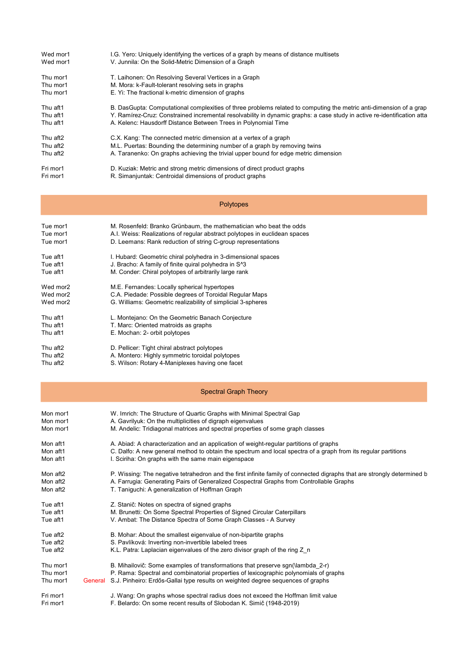| Wed mor1 | I.G. Yero: Uniquely identifying the vertices of a graph by means of distance multisets                                  |
|----------|-------------------------------------------------------------------------------------------------------------------------|
| Wed mor1 | V. Junnila: On the Solid-Metric Dimension of a Graph                                                                    |
| Thu mor1 | T. Laihonen: On Resolving Several Vertices in a Graph                                                                   |
| Thu mor1 | M. Mora: k-Fault-tolerant resolving sets in graphs                                                                      |
| Thu mor1 | E. Yi: The fractional k-metric dimension of graphs                                                                      |
| Thu aft1 | B. DasGupta: Computational complexities of three problems related to computing the metric anti-dimension of a grap      |
| Thu aft1 | Y. Ramírez-Cruz: Constrained incremental resolvability in dynamic graphs: a case study in active re-identification atta |
| Thu aft1 | A. Kelenc: Hausdorff Distance Between Trees in Polynomial Time                                                          |
| Thu aft2 | C.X. Kang: The connected metric dimension at a vertex of a graph                                                        |
| Thu aft2 | M.L. Puertas: Bounding the determining number of a graph by removing twins                                              |
| Thu aft2 | A. Taranenko: On graphs achieving the trivial upper bound for edge metric dimension                                     |
| Fri mor1 | D. Kuziak: Metric and strong metric dimensions of direct product graphs                                                 |
| Fri mor1 | R. Simanjuntak: Centroidal dimensions of product graphs                                                                 |
|          |                                                                                                                         |
|          |                                                                                                                         |

|          | <b>Polytopes</b>                                                           |  |
|----------|----------------------------------------------------------------------------|--|
| Tue mor1 | M. Rosenfeld: Branko Grünbaum, the mathematician who beat the odds         |  |
| Tue mor1 | A.I. Weiss: Realizations of regular abstract polytopes in euclidean spaces |  |
| Tue mor1 | D. Leemans: Rank reduction of string C-group representations               |  |
| Tue aft1 | I. Hubard: Geometric chiral polyhedra in 3-dimensional spaces              |  |
| Tue aft1 | J. Bracho: A family of finite quiral polyhedra in S <sup>1</sup> 3         |  |
| Tue aft1 | M. Conder: Chiral polytopes of arbitrarily large rank                      |  |
| Wed mor2 | M.E. Fernandes: Locally spherical hypertopes                               |  |
| Wed mor2 | C.A. Piedade: Possible degrees of Toroidal Regular Maps                    |  |
| Wed mor2 | G. Williams: Geometric realizability of simplicial 3-spheres               |  |
| Thu aft1 | L. Montejano: On the Geometric Banach Conjecture                           |  |
| Thu aft1 | T. Marc: Oriented matroids as graphs                                       |  |
| Thu aft1 | E. Mochan: 2- orbit polytopes                                              |  |
| Thu aft2 | D. Pellicer: Tight chiral abstract polytopes                               |  |
|          |                                                                            |  |

Thu aft2 A. Montero: Highly symmetric toroidal polytopes Thu aft2 S. Wilson: Rotary 4-Maniplexes having one facet

## Spectral Graph Theory

| Mon mor1 | W. Imrich: The Structure of Quartic Graphs with Minimal Spectral Gap                                                    |
|----------|-------------------------------------------------------------------------------------------------------------------------|
| Mon mor1 | A. Gavrilyuk: On the multiplicities of digraph eigenvalues                                                              |
| Mon mor1 | M. Andelic: Tridiagonal matrices and spectral properties of some graph classes                                          |
| Mon aft1 | A. Abiad: A characterization and an application of weight-regular partitions of graphs                                  |
| Mon aft1 | C. Dalfo: A new general method to obtain the spectrum and local spectra of a graph from its regular partitions          |
| Mon aft1 | I. Sciriha: On graphs with the same main eigenspace                                                                     |
|          |                                                                                                                         |
| Mon aft2 | P. Wissing: The negative tetrahedron and the first infinite family of connected digraphs that are strongly determined b |
| Mon aft2 | A. Farrugia: Generating Pairs of Generalized Cospectral Graphs from Controllable Graphs                                 |
| Mon aft2 | T. Taniguchi: A generalization of Hoffman Graph                                                                         |
|          |                                                                                                                         |
| Tue aft1 | Z. Stanič: Notes on spectra of signed graphs                                                                            |
| Tue aft1 | M. Brunetti: On Some Spectral Properties of Signed Circular Caterpillars                                                |
| Tue aft1 | V. Ambat: The Distance Spectra of Some Graph Classes - A Survey                                                         |
| Tue aft2 | B. Mohar: About the smallest eigenvalue of non-bipartite graphs                                                         |
| Tue aft2 | S. Pavlíková: Inverting non-invertible labeled trees                                                                    |
| Tue aft2 | K.L. Patra: Laplacian eigenvalues of the zero divisor graph of the ring Z n                                             |
|          |                                                                                                                         |
| Thu mor1 | B. Mihailovič: Some examples of transformations that preserve sgn(\lambda 2-r)                                          |
| Thu mor1 | P. Rama: Spectral and combinatorial properties of lexicographic polynomials of graphs                                   |
| Thu mor1 | General S.J. Pinheiro: Erdős-Gallai type results on weighted degree sequences of graphs                                 |
|          |                                                                                                                         |
| Fri mor1 | J. Wang: On graphs whose spectral radius does not exceed the Hoffman limit value                                        |
| Fri mor1 | F. Belardo: On some recent results of Slobodan K. Simič (1948-2019)                                                     |